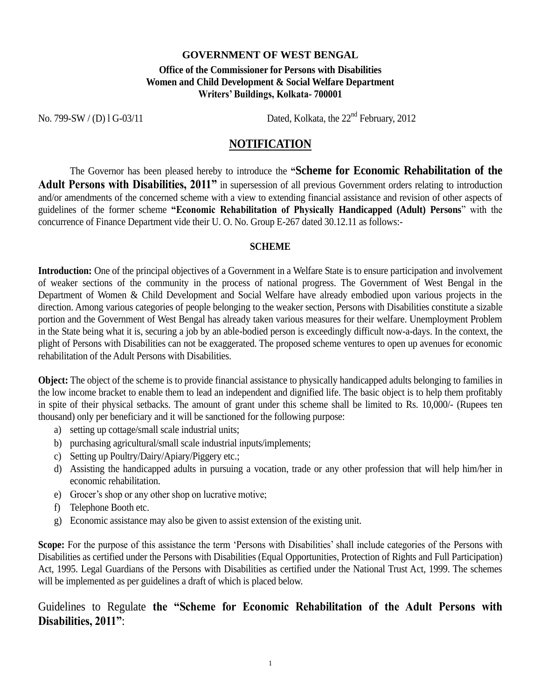#### **GOVERNMENT OF WEST BENGAL**

### **Office of the Commissioner for Persons with Disabilities Women and Child Development & Social Welfare Department Writers' Buildings, Kolkata- 700001**

No. 799-SW / (D) 1 G-03/11 Dated, Kolkata, the 22<sup>nd</sup> February, 2012

### **NOTIFICATION**

The Governor has been pleased hereby to introduce the **"Scheme for Economic Rehabilitation of the Adult Persons with Disabilities, 2011"** in supersession of all previous Government orders relating to introduction and/or amendments of the concerned scheme with a view to extending financial assistance and revision of other aspects of guidelines of the former scheme **"Economic Rehabilitation of Physically Handicapped (Adult) Persons**" with the concurrence of Finance Department vide their U. O. No. Group E-267 dated 30.12.11 as follows:-

#### **SCHEME**

**Introduction:** One of the principal objectives of a Government in a Welfare State is to ensure participation and involvement of weaker sections of the community in the process of national progress. The Government of West Bengal in the Department of Women & Child Development and Social Welfare have already embodied upon various projects in the direction. Among various categories of people belonging to the weaker section, Persons with Disabilities constitute a sizable portion and the Government of West Bengal has already taken various measures for their welfare. Unemployment Problem in the State being what it is, securing a job by an able-bodied person is exceedingly difficult now-a-days. In the context, the plight of Persons with Disabilities can not be exaggerated. The proposed scheme ventures to open up avenues for economic rehabilitation of the Adult Persons with Disabilities.

**Object:** The object of the scheme is to provide financial assistance to physically handicapped adults belonging to families in the low income bracket to enable them to lead an independent and dignified life. The basic object is to help them profitably in spite of their physical setbacks. The amount of grant under this scheme shall be limited to Rs. 10,000/- (Rupees ten thousand) only per beneficiary and it will be sanctioned for the following purpose:

- a) setting up cottage/small scale industrial units;
- b) purchasing agricultural/small scale industrial inputs/implements;
- c) Setting up Poultry/Dairy/Apiary/Piggery etc.;
- d) Assisting the handicapped adults in pursuing a vocation, trade or any other profession that will help him/her in economic rehabilitation.
- e) Grocer's shop or any other shop on lucrative motive;
- f) Telephone Booth etc.
- g) Economic assistance may also be given to assist extension of the existing unit.

**Scope:** For the purpose of this assistance the term "Persons with Disabilities" shall include categories of the Persons with Disabilities as certified under the Persons with Disabilities (Equal Opportunities, Protection of Rights and Full Participation) Act, 1995. Legal Guardians of the Persons with Disabilities as certified under the National Trust Act, 1999. The schemes will be implemented as per guidelines a draft of which is placed below.

## Guidelines to Regulate **the "Scheme for Economic Rehabilitation of the Adult Persons with Disabilities, 2011"**: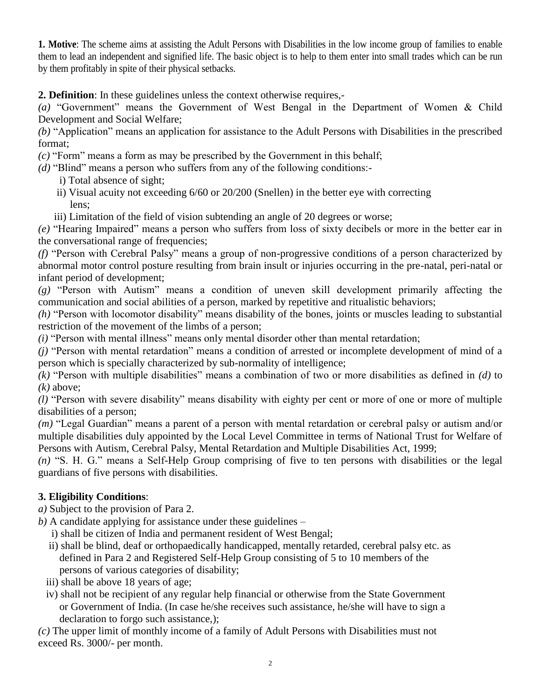**1. Motive**: The scheme aims at assisting the Adult Persons with Disabilities in the low income group of families to enable them to lead an independent and signified life. The basic object is to help to them enter into small trades which can be run by them profitably in spite of their physical setbacks.

**2. Definition**: In these guidelines unless the context otherwise requires,-

*(a)* "Government" means the Government of West Bengal in the Department of Women & Child Development and Social Welfare;

*(b)* "Application" means an application for assistance to the Adult Persons with Disabilities in the prescribed format;

- *(c)* "Form" means a form as may be prescribed by the Government in this behalf;
- *(d)* "Blind" means a person who suffers from any of the following conditions:
	- i) Total absence of sight;
	- ii) Visual acuity not exceeding 6/60 or 20/200 (Snellen) in the better eye with correcting lens;
	- iii) Limitation of the field of vision subtending an angle of 20 degrees or worse;

*(e)* "Hearing Impaired" means a person who suffers from loss of sixty decibels or more in the better ear in the conversational range of frequencies;

*(f)* "Person with Cerebral Palsy" means a group of non-progressive conditions of a person characterized by abnormal motor control posture resulting from brain insult or injuries occurring in the pre-natal, peri-natal or infant period of development;

*(g)* "Person with Autism" means a condition of uneven skill development primarily affecting the communication and social abilities of a person, marked by repetitive and ritualistic behaviors;

*(h)* "Person with locomotor disability" means disability of the bones, joints or muscles leading to substantial restriction of the movement of the limbs of a person;

*(i)* "Person with mental illness" means only mental disorder other than mental retardation;

*(j)* "Person with mental retardation" means a condition of arrested or incomplete development of mind of a person which is specially characterized by sub-normality of intelligence;

*(k)* "Person with multiple disabilities" means a combination of two or more disabilities as defined in *(d)* to *(k)* above;

*(l)* "Person with severe disability" means disability with eighty per cent or more of one or more of multiple disabilities of a person;

*(m)* "Legal Guardian" means a parent of a person with mental retardation or cerebral palsy or autism and/or multiple disabilities duly appointed by the Local Level Committee in terms of National Trust for Welfare of Persons with Autism, Cerebral Palsy, Mental Retardation and Multiple Disabilities Act, 1999;

*(n)* "S. H. G." means a Self-Help Group comprising of five to ten persons with disabilities or the legal guardians of five persons with disabilities.

# **3. Eligibility Conditions**:

*a)* Subject to the provision of Para 2.

- *b)* A candidate applying for assistance under these guidelines
	- i) shall be citizen of India and permanent resident of West Bengal;
	- ii) shall be blind, deaf or orthopaedically handicapped, mentally retarded, cerebral palsy etc. as defined in Para 2 and Registered Self-Help Group consisting of 5 to 10 members of the persons of various categories of disability;
	- iii) shall be above 18 years of age;
	- iv) shall not be recipient of any regular help financial or otherwise from the State Government or Government of India. (In case he/she receives such assistance, he/she will have to sign a declaration to forgo such assistance,);

*(c)* The upper limit of monthly income of a family of Adult Persons with Disabilities must not exceed Rs. 3000/- per month.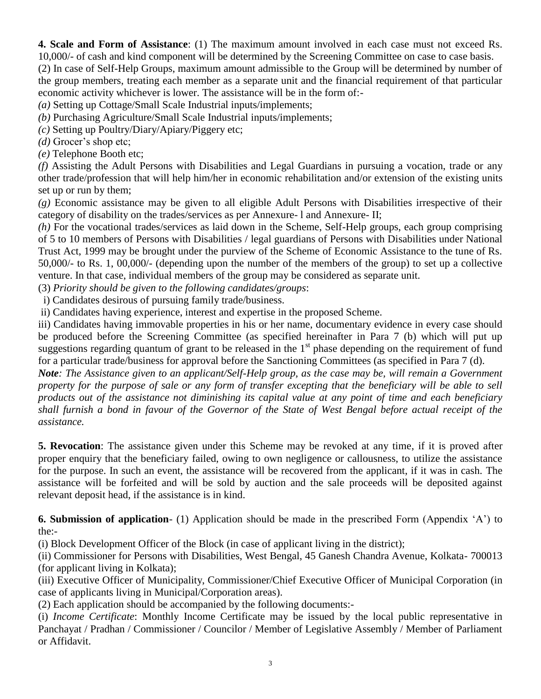**4. Scale and Form of Assistance**: (1) The maximum amount involved in each case must not exceed Rs. 10,000/- of cash and kind component will be determined by the Screening Committee on case to case basis.

(2) In case of Self-Help Groups, maximum amount admissible to the Group will be determined by number of the group members, treating each member as a separate unit and the financial requirement of that particular economic activity whichever is lower. The assistance will be in the form of:-

*(a)* Setting up Cottage/Small Scale Industrial inputs/implements;

*(b)* Purchasing Agriculture/Small Scale Industrial inputs/implements;

*(c)* Setting up Poultry/Diary/Apiary/Piggery etc;

*(d)* Grocer's shop etc;

*(e)* Telephone Booth etc;

*(f)* Assisting the Adult Persons with Disabilities and Legal Guardians in pursuing a vocation, trade or any other trade/profession that will help him/her in economic rehabilitation and/or extension of the existing units set up or run by them;

*(g)* Economic assistance may be given to all eligible Adult Persons with Disabilities irrespective of their category of disability on the trades/services as per Annexure- l and Annexure- II;

*(h)* For the vocational trades/services as laid down in the Scheme, Self-Help groups, each group comprising of 5 to 10 members of Persons with Disabilities / legal guardians of Persons with Disabilities under National Trust Act, 1999 may be brought under the purview of the Scheme of Economic Assistance to the tune of Rs. 50,000/- to Rs. 1, 00,000/- (depending upon the number of the members of the group) to set up a collective venture. In that case, individual members of the group may be considered as separate unit.

(3) *Priority should be given to the following candidates/groups*:

i) Candidates desirous of pursuing family trade/business.

ii) Candidates having experience, interest and expertise in the proposed Scheme.

iii) Candidates having immovable properties in his or her name, documentary evidence in every case should be produced before the Screening Committee (as specified hereinafter in Para 7 (b) which will put up suggestions regarding quantum of grant to be released in the  $1<sup>st</sup>$  phase depending on the requirement of fund for a particular trade/business for approval before the Sanctioning Committees (as specified in Para 7 (d).

*Note: The Assistance given to an applicant/Self-Help group, as the case may be, will remain a Government property for the purpose of sale or any form of transfer excepting that the beneficiary will be able to sell products out of the assistance not diminishing its capital value at any point of time and each beneficiary shall furnish a bond in favour of the Governor of the State of West Bengal before actual receipt of the assistance.*

**5. Revocation**: The assistance given under this Scheme may be revoked at any time, if it is proved after proper enquiry that the beneficiary failed, owing to own negligence or callousness, to utilize the assistance for the purpose. In such an event, the assistance will be recovered from the applicant, if it was in cash. The assistance will be forfeited and will be sold by auction and the sale proceeds will be deposited against relevant deposit head, if the assistance is in kind.

**6. Submission of application**- (1) Application should be made in the prescribed Form (Appendix "A") to the:-

(i) Block Development Officer of the Block (in case of applicant living in the district);

(ii) Commissioner for Persons with Disabilities, West Bengal, 45 Ganesh Chandra Avenue, Kolkata- 700013 (for applicant living in Kolkata);

(iii) Executive Officer of Municipality, Commissioner/Chief Executive Officer of Municipal Corporation (in case of applicants living in Municipal/Corporation areas).

(2) Each application should be accompanied by the following documents:-

(i) *Income Certificate*: Monthly Income Certificate may be issued by the local public representative in Panchayat / Pradhan / Commissioner / Councilor / Member of Legislative Assembly / Member of Parliament or Affidavit.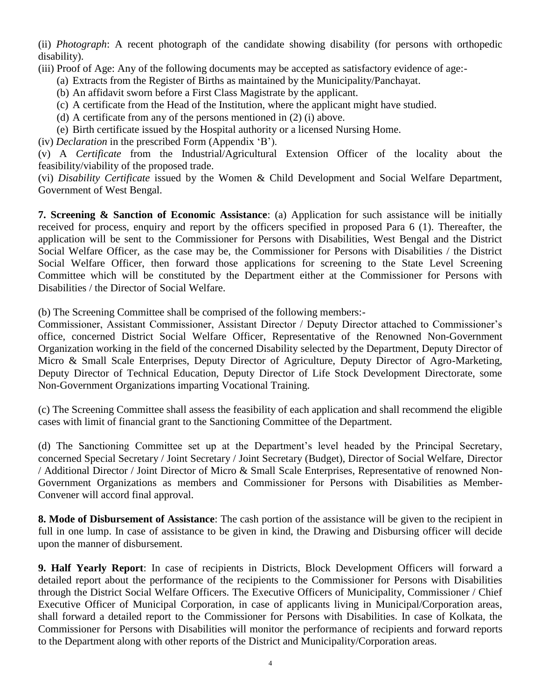(ii) *Photograph*: A recent photograph of the candidate showing disability (for persons with orthopedic disability).

(iii) Proof of Age: Any of the following documents may be accepted as satisfactory evidence of age:-

- (a) Extracts from the Register of Births as maintained by the Municipality/Panchayat.
- (b) An affidavit sworn before a First Class Magistrate by the applicant.
- (c) A certificate from the Head of the Institution, where the applicant might have studied.
- (d) A certificate from any of the persons mentioned in (2) (i) above.
- (e) Birth certificate issued by the Hospital authority or a licensed Nursing Home.

(iv) *Declaration* in the prescribed Form (Appendix "B").

(v) A *Certificate* from the Industrial/Agricultural Extension Officer of the locality about the feasibility/viability of the proposed trade.

(vi) *Disability Certificate* issued by the Women & Child Development and Social Welfare Department, Government of West Bengal.

**7. Screening & Sanction of Economic Assistance**: (a) Application for such assistance will be initially received for process, enquiry and report by the officers specified in proposed Para 6 (1). Thereafter, the application will be sent to the Commissioner for Persons with Disabilities, West Bengal and the District Social Welfare Officer, as the case may be, the Commissioner for Persons with Disabilities / the District Social Welfare Officer, then forward those applications for screening to the State Level Screening Committee which will be constituted by the Department either at the Commissioner for Persons with Disabilities / the Director of Social Welfare.

(b) The Screening Committee shall be comprised of the following members:-

Commissioner, Assistant Commissioner, Assistant Director / Deputy Director attached to Commissioner"s office, concerned District Social Welfare Officer, Representative of the Renowned Non-Government Organization working in the field of the concerned Disability selected by the Department, Deputy Director of Micro & Small Scale Enterprises, Deputy Director of Agriculture, Deputy Director of Agro-Marketing, Deputy Director of Technical Education, Deputy Director of Life Stock Development Directorate, some Non-Government Organizations imparting Vocational Training.

(c) The Screening Committee shall assess the feasibility of each application and shall recommend the eligible cases with limit of financial grant to the Sanctioning Committee of the Department.

(d) The Sanctioning Committee set up at the Department"s level headed by the Principal Secretary, concerned Special Secretary / Joint Secretary / Joint Secretary (Budget), Director of Social Welfare, Director / Additional Director / Joint Director of Micro & Small Scale Enterprises, Representative of renowned Non-Government Organizations as members and Commissioner for Persons with Disabilities as Member-Convener will accord final approval.

**8. Mode of Disbursement of Assistance**: The cash portion of the assistance will be given to the recipient in full in one lump. In case of assistance to be given in kind, the Drawing and Disbursing officer will decide upon the manner of disbursement.

**9. Half Yearly Report**: In case of recipients in Districts, Block Development Officers will forward a detailed report about the performance of the recipients to the Commissioner for Persons with Disabilities through the District Social Welfare Officers. The Executive Officers of Municipality, Commissioner / Chief Executive Officer of Municipal Corporation, in case of applicants living in Municipal/Corporation areas, shall forward a detailed report to the Commissioner for Persons with Disabilities. In case of Kolkata, the Commissioner for Persons with Disabilities will monitor the performance of recipients and forward reports to the Department along with other reports of the District and Municipality/Corporation areas.